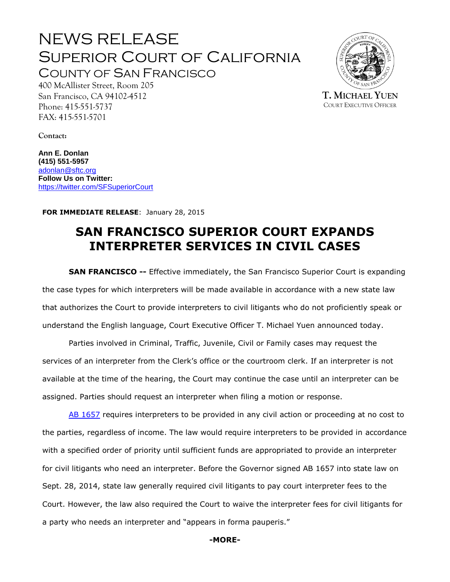# NEWS RELEASE Superior Court of California COUNTY OF SAN FRANCISCO



**T. MICHAEL YUEN** COURT EXECUTIVE OFFICER

San Francisco, CA 94102-4512 Phone: 415-551-5737 FAX: 415-551-5701

400 McAllister Street, Room 205

**Contact:**

**Ann E. Donlan (415) 551-5957** [adonlan@sftc.org](mailto:adonlan@sftc.org) **Follow Us on Twitter:** <https://twitter.com/SFSuperiorCourt>

**FOR IMMEDIATE RELEASE**: January 28, 2015

## **SAN FRANCISCO SUPERIOR COURT EXPANDS INTERPRETER SERVICES IN CIVIL CASES**

**SAN FRANCISCO --** Effective immediately, the San Francisco Superior Court is expanding the case types for which interpreters will be made available in accordance with a new state law that authorizes the Court to provide interpreters to civil litigants who do not proficiently speak or understand the English language, Court Executive Officer T. Michael Yuen announced today.

Parties involved in Criminal, Traffic, Juvenile, Civil or Family cases may request the services of an interpreter from the Clerk's office or the courtroom clerk. If an interpreter is not available at the time of the hearing, the Court may continue the case until an interpreter can be assigned. Parties should request an interpreter when filing a motion or response.

[AB 1657](http://www.leginfo.ca.gov/pub/13-14/bill/asm/ab_1651-1700/ab_1657_bill_20140928_chaptered.pdf) requires interpreters to be provided in any civil action or proceeding at no cost to the parties, regardless of income. The law would require interpreters to be provided in accordance with a specified order of priority until sufficient funds are appropriated to provide an interpreter for civil litigants who need an interpreter. Before the Governor signed AB 1657 into state law on Sept. 28, 2014, state law generally required civil litigants to pay court interpreter fees to the Court. However, the law also required the Court to waive the interpreter fees for civil litigants for a party who needs an interpreter and "appears in forma pauperis."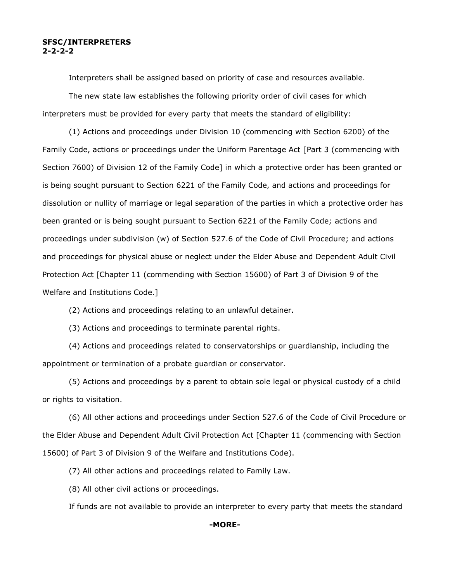#### **SFSC/INTERPRETERS 2-2-2-2**

Interpreters shall be assigned based on priority of case and resources available.

The new state law establishes the following priority order of civil cases for which interpreters must be provided for every party that meets the standard of eligibility:

(1) Actions and proceedings under Division 10 (commencing with Section 6200) of the Family Code, actions or proceedings under the Uniform Parentage Act [Part 3 (commencing with Section 7600) of Division 12 of the Family Code] in which a protective order has been granted or is being sought pursuant to Section 6221 of the Family Code, and actions and proceedings for dissolution or nullity of marriage or legal separation of the parties in which a protective order has been granted or is being sought pursuant to Section 6221 of the Family Code; actions and proceedings under subdivision (w) of Section 527.6 of the Code of Civil Procedure; and actions and proceedings for physical abuse or neglect under the Elder Abuse and Dependent Adult Civil Protection Act [Chapter 11 (commending with Section 15600) of Part 3 of Division 9 of the Welfare and Institutions Code.]

(2) Actions and proceedings relating to an unlawful detainer.

(3) Actions and proceedings to terminate parental rights.

(4) Actions and proceedings related to conservatorships or guardianship, including the appointment or termination of a probate guardian or conservator.

(5) Actions and proceedings by a parent to obtain sole legal or physical custody of a child or rights to visitation.

(6) All other actions and proceedings under Section 527.6 of the Code of Civil Procedure or the Elder Abuse and Dependent Adult Civil Protection Act [Chapter 11 (commencing with Section 15600) of Part 3 of Division 9 of the Welfare and Institutions Code).

(7) All other actions and proceedings related to Family Law.

(8) All other civil actions or proceedings.

If funds are not available to provide an interpreter to every party that meets the standard

#### **-MORE-**